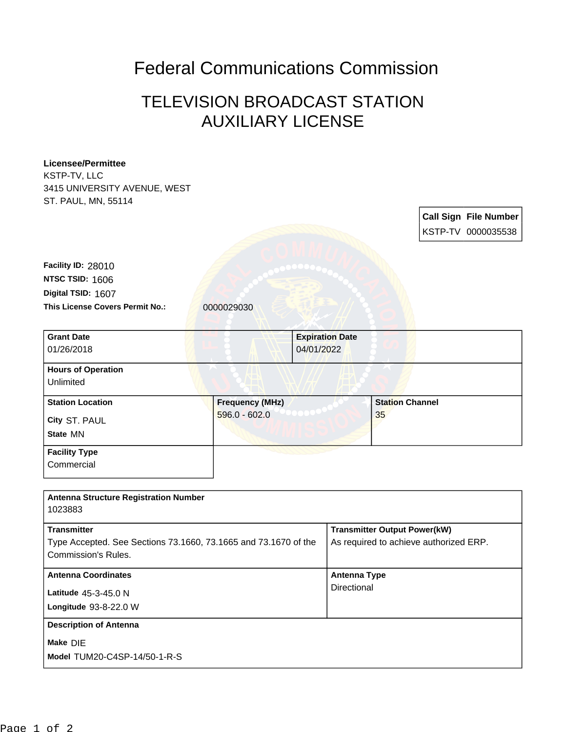## Federal Communications Commission

## TELEVISION BROADCAST STATION AUXILIARY LICENSE

| <b>Licensee/Permittee</b>                                       |                        |  |                                        |    |  |                              |
|-----------------------------------------------------------------|------------------------|--|----------------------------------------|----|--|------------------------------|
| KSTP-TV, LLC                                                    |                        |  |                                        |    |  |                              |
| 3415 UNIVERSITY AVENUE, WEST                                    |                        |  |                                        |    |  |                              |
| ST. PAUL, MN, 55114                                             |                        |  |                                        |    |  |                              |
|                                                                 |                        |  |                                        |    |  | <b>Call Sign File Number</b> |
|                                                                 |                        |  |                                        |    |  | KSTP-TV 0000035538           |
|                                                                 |                        |  |                                        |    |  |                              |
|                                                                 |                        |  |                                        |    |  |                              |
| Facility ID: 28010                                              |                        |  |                                        |    |  |                              |
| NTSC TSID: 1606                                                 |                        |  |                                        |    |  |                              |
| Digital TSID: 1607                                              |                        |  |                                        |    |  |                              |
| This License Covers Permit No.:                                 | 0000029030             |  |                                        |    |  |                              |
|                                                                 |                        |  |                                        |    |  |                              |
| <b>Grant Date</b>                                               |                        |  | <b>Expiration Date</b>                 |    |  |                              |
| 01/26/2018                                                      | 04/01/2022             |  |                                        |    |  |                              |
| <b>Hours of Operation</b>                                       |                        |  |                                        |    |  |                              |
| Unlimited                                                       |                        |  |                                        |    |  |                              |
|                                                                 |                        |  |                                        |    |  |                              |
| <b>Station Location</b>                                         | <b>Frequency (MHz)</b> |  | <b>Station Channel</b>                 |    |  |                              |
| City ST. PAUL                                                   | $596.0 - 602.0$        |  |                                        | 35 |  |                              |
| State MN                                                        |                        |  |                                        |    |  |                              |
| <b>Facility Type</b>                                            |                        |  |                                        |    |  |                              |
| Commercial                                                      |                        |  |                                        |    |  |                              |
|                                                                 |                        |  |                                        |    |  |                              |
|                                                                 |                        |  |                                        |    |  |                              |
| <b>Antenna Structure Registration Number</b>                    |                        |  |                                        |    |  |                              |
| 1023883                                                         |                        |  |                                        |    |  |                              |
| <b>Transmitter</b>                                              |                        |  | <b>Transmitter Output Power(kW)</b>    |    |  |                              |
| Type Accepted. See Sections 73.1660, 73.1665 and 73.1670 of the |                        |  | As required to achieve authorized ERP. |    |  |                              |
| <b>Commission's Rules.</b>                                      |                        |  |                                        |    |  |                              |
|                                                                 |                        |  |                                        |    |  |                              |
| <b>Antenna Coordinates</b>                                      |                        |  | <b>Antenna Type</b><br>Directional     |    |  |                              |
| Latitude 45-3-45.0 N                                            |                        |  |                                        |    |  |                              |
| Longitude 93-8-22.0 W                                           |                        |  |                                        |    |  |                              |
| <b>Description of Antenna</b>                                   |                        |  |                                        |    |  |                              |
| Make DIE                                                        |                        |  |                                        |    |  |                              |
| Model TUM20-C4SP-14/50-1-R-S                                    |                        |  |                                        |    |  |                              |
|                                                                 |                        |  |                                        |    |  |                              |